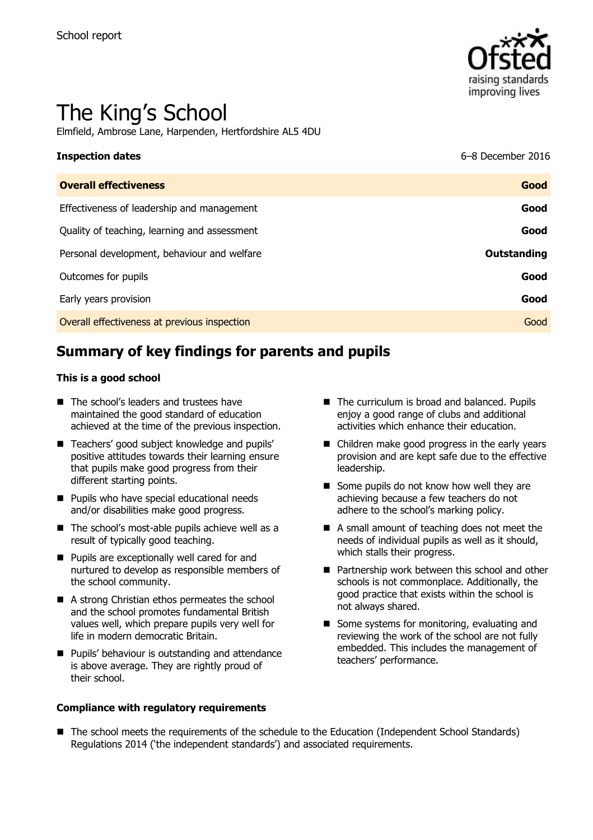

# The King's School

Elmfield, Ambrose Lane, Harpenden, Hertfordshire AL5 4DU

| <b>Inspection dates</b>                      | 6-8 December 2016 |
|----------------------------------------------|-------------------|
| <b>Overall effectiveness</b>                 | Good              |
| Effectiveness of leadership and management   | Good              |
| Quality of teaching, learning and assessment | Good              |
| Personal development, behaviour and welfare  | Outstanding       |
| Outcomes for pupils                          | Good              |
| Early years provision                        | Good              |
| Overall effectiveness at previous inspection | Good              |

# **Summary of key findings for parents and pupils**

#### **This is a good school**

- The school's leaders and trustees have maintained the good standard of education achieved at the time of the previous inspection.
- Teachers' good subject knowledge and pupils' positive attitudes towards their learning ensure that pupils make good progress from their different starting points.
- **Pupils who have special educational needs** and/or disabilities make good progress.
- The school's most-able pupils achieve well as a result of typically good teaching.
- **Pupils are exceptionally well cared for and** nurtured to develop as responsible members of the school community.
- A strong Christian ethos permeates the school and the school promotes fundamental British values well, which prepare pupils very well for life in modern democratic Britain.
- **Pupils' behaviour is outstanding and attendance** is above average. They are rightly proud of their school.

#### **Compliance with regulatory requirements**

- The curriculum is broad and balanced. Pupils enjoy a good range of clubs and additional activities which enhance their education.
- Children make good progress in the early years provision and are kept safe due to the effective leadership.
- Some pupils do not know how well they are achieving because a few teachers do not adhere to the school's marking policy.
- A small amount of teaching does not meet the needs of individual pupils as well as it should, which stalls their progress.
- **Partnership work between this school and other** schools is not commonplace. Additionally, the good practice that exists within the school is not always shared.
- Some systems for monitoring, evaluating and reviewing the work of the school are not fully embedded. This includes the management of teachers' performance.
- The school meets the requirements of the schedule to the Education (Independent School Standards) Regulations 2014 ('the independent standards') and associated requirements.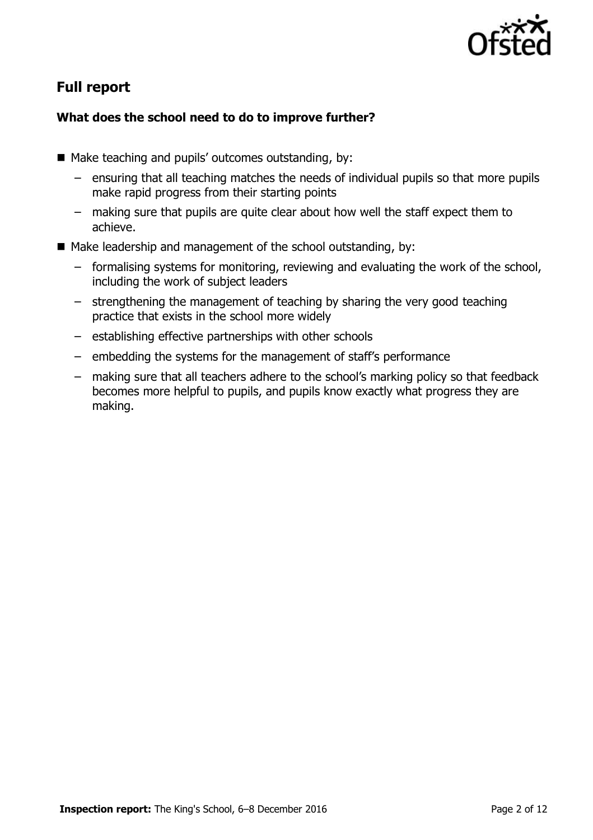

# **Full report**

### **What does the school need to do to improve further?**

- Make teaching and pupils' outcomes outstanding, by:
	- ensuring that all teaching matches the needs of individual pupils so that more pupils make rapid progress from their starting points
	- making sure that pupils are quite clear about how well the staff expect them to achieve.
- $\blacksquare$  Make leadership and management of the school outstanding, by:
	- formalising systems for monitoring, reviewing and evaluating the work of the school, including the work of subject leaders
	- strengthening the management of teaching by sharing the very good teaching practice that exists in the school more widely
	- establishing effective partnerships with other schools
	- embedding the systems for the management of staff's performance
	- making sure that all teachers adhere to the school's marking policy so that feedback becomes more helpful to pupils, and pupils know exactly what progress they are making.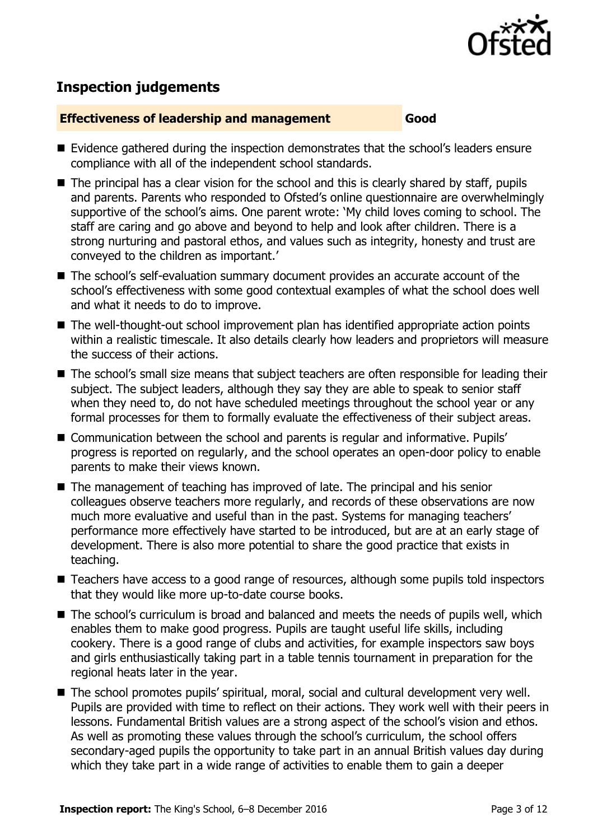

# **Inspection judgements**

#### **Effectiveness of leadership and management Good**

- Evidence gathered during the inspection demonstrates that the school's leaders ensure compliance with all of the independent school standards.
- $\blacksquare$  The principal has a clear vision for the school and this is clearly shared by staff, pupils and parents. Parents who responded to Ofsted's online questionnaire are overwhelmingly supportive of the school's aims. One parent wrote: 'My child loves coming to school. The staff are caring and go above and beyond to help and look after children. There is a strong nurturing and pastoral ethos, and values such as integrity, honesty and trust are conveyed to the children as important.'
- The school's self-evaluation summary document provides an accurate account of the school's effectiveness with some good contextual examples of what the school does well and what it needs to do to improve.
- The well-thought-out school improvement plan has identified appropriate action points within a realistic timescale. It also details clearly how leaders and proprietors will measure the success of their actions.
- The school's small size means that subject teachers are often responsible for leading their subject. The subject leaders, although they say they are able to speak to senior staff when they need to, do not have scheduled meetings throughout the school year or any formal processes for them to formally evaluate the effectiveness of their subject areas.
- Communication between the school and parents is regular and informative. Pupils' progress is reported on regularly, and the school operates an open-door policy to enable parents to make their views known.
- The management of teaching has improved of late. The principal and his senior colleagues observe teachers more regularly, and records of these observations are now much more evaluative and useful than in the past. Systems for managing teachers' performance more effectively have started to be introduced, but are at an early stage of development. There is also more potential to share the good practice that exists in teaching.
- Teachers have access to a good range of resources, although some pupils told inspectors that they would like more up-to-date course books.
- The school's curriculum is broad and balanced and meets the needs of pupils well, which enables them to make good progress. Pupils are taught useful life skills, including cookery. There is a good range of clubs and activities, for example inspectors saw boys and girls enthusiastically taking part in a table tennis tournament in preparation for the regional heats later in the year.
- The school promotes pupils' spiritual, moral, social and cultural development very well. Pupils are provided with time to reflect on their actions. They work well with their peers in lessons. Fundamental British values are a strong aspect of the school's vision and ethos. As well as promoting these values through the school's curriculum, the school offers secondary-aged pupils the opportunity to take part in an annual British values day during which they take part in a wide range of activities to enable them to gain a deeper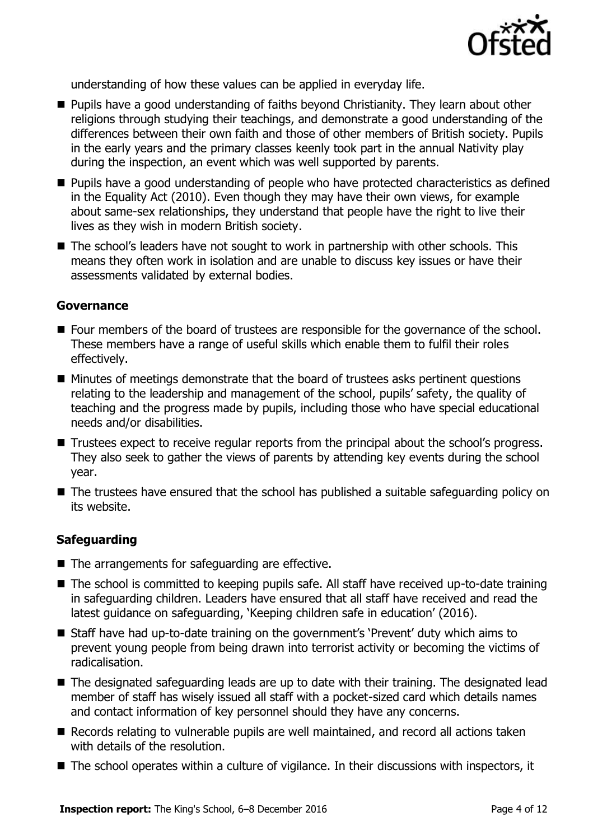

understanding of how these values can be applied in everyday life.

- Pupils have a good understanding of faiths beyond Christianity. They learn about other religions through studying their teachings, and demonstrate a good understanding of the differences between their own faith and those of other members of British society. Pupils in the early years and the primary classes keenly took part in the annual Nativity play during the inspection, an event which was well supported by parents.
- **Pupils have a good understanding of people who have protected characteristics as defined** in the Equality Act (2010). Even though they may have their own views, for example about same-sex relationships, they understand that people have the right to live their lives as they wish in modern British society.
- The school's leaders have not sought to work in partnership with other schools. This means they often work in isolation and are unable to discuss key issues or have their assessments validated by external bodies.

### **Governance**

- Four members of the board of trustees are responsible for the governance of the school. These members have a range of useful skills which enable them to fulfil their roles effectively.
- Minutes of meetings demonstrate that the board of trustees asks pertinent questions relating to the leadership and management of the school, pupils' safety, the quality of teaching and the progress made by pupils, including those who have special educational needs and/or disabilities.
- Trustees expect to receive regular reports from the principal about the school's progress. They also seek to gather the views of parents by attending key events during the school year.
- The trustees have ensured that the school has published a suitable safeguarding policy on its website.

### **Safeguarding**

- The arrangements for safeguarding are effective.
- The school is committed to keeping pupils safe. All staff have received up-to-date training in safeguarding children. Leaders have ensured that all staff have received and read the latest guidance on safeguarding, 'Keeping children safe in education' (2016).
- Staff have had up-to-date training on the government's 'Prevent' duty which aims to prevent young people from being drawn into terrorist activity or becoming the victims of radicalisation.
- The designated safeguarding leads are up to date with their training. The designated lead member of staff has wisely issued all staff with a pocket-sized card which details names and contact information of key personnel should they have any concerns.
- Records relating to vulnerable pupils are well maintained, and record all actions taken with details of the resolution.
- The school operates within a culture of vigilance. In their discussions with inspectors, it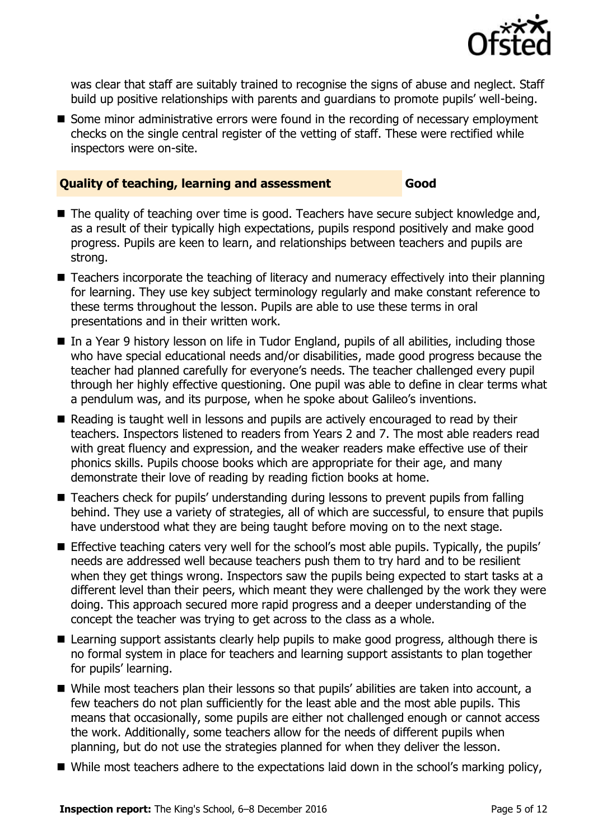

was clear that staff are suitably trained to recognise the signs of abuse and neglect. Staff build up positive relationships with parents and guardians to promote pupils' well-being.

■ Some minor administrative errors were found in the recording of necessary employment checks on the single central register of the vetting of staff. These were rectified while inspectors were on-site.

#### **Quality of teaching, learning and assessment Good**

- The quality of teaching over time is good. Teachers have secure subject knowledge and, as a result of their typically high expectations, pupils respond positively and make good progress. Pupils are keen to learn, and relationships between teachers and pupils are strong.
- Teachers incorporate the teaching of literacy and numeracy effectively into their planning for learning. They use key subject terminology regularly and make constant reference to these terms throughout the lesson. Pupils are able to use these terms in oral presentations and in their written work.
- In a Year 9 history lesson on life in Tudor England, pupils of all abilities, including those who have special educational needs and/or disabilities, made good progress because the teacher had planned carefully for everyone's needs. The teacher challenged every pupil through her highly effective questioning. One pupil was able to define in clear terms what a pendulum was, and its purpose, when he spoke about Galileo's inventions.
- Reading is taught well in lessons and pupils are actively encouraged to read by their teachers. Inspectors listened to readers from Years 2 and 7. The most able readers read with great fluency and expression, and the weaker readers make effective use of their phonics skills. Pupils choose books which are appropriate for their age, and many demonstrate their love of reading by reading fiction books at home.
- Teachers check for pupils' understanding during lessons to prevent pupils from falling behind. They use a variety of strategies, all of which are successful, to ensure that pupils have understood what they are being taught before moving on to the next stage.
- **Effective teaching caters very well for the school's most able pupils. Typically, the pupils'** needs are addressed well because teachers push them to try hard and to be resilient when they get things wrong. Inspectors saw the pupils being expected to start tasks at a different level than their peers, which meant they were challenged by the work they were doing. This approach secured more rapid progress and a deeper understanding of the concept the teacher was trying to get across to the class as a whole.
- Learning support assistants clearly help pupils to make good progress, although there is no formal system in place for teachers and learning support assistants to plan together for pupils' learning.
- While most teachers plan their lessons so that pupils' abilities are taken into account, a few teachers do not plan sufficiently for the least able and the most able pupils. This means that occasionally, some pupils are either not challenged enough or cannot access the work. Additionally, some teachers allow for the needs of different pupils when planning, but do not use the strategies planned for when they deliver the lesson.
- While most teachers adhere to the expectations laid down in the school's marking policy,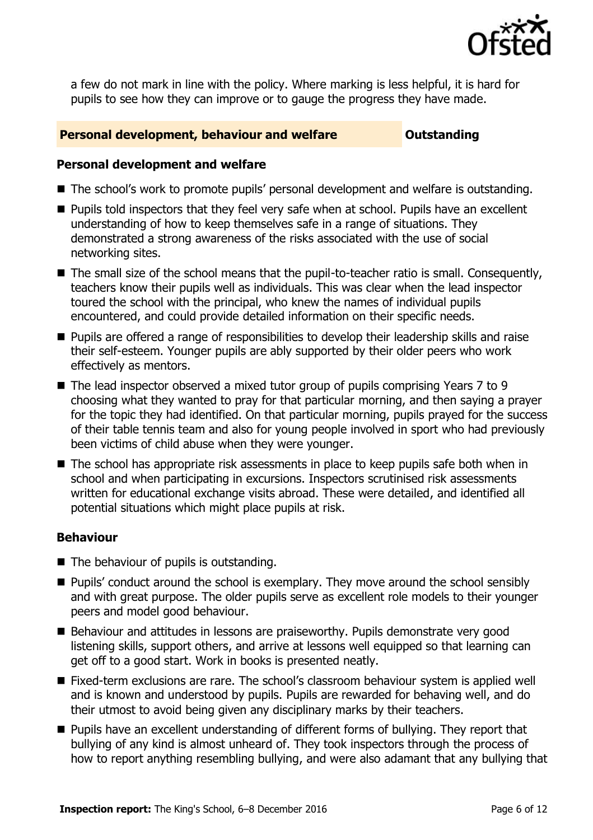

a few do not mark in line with the policy. Where marking is less helpful, it is hard for pupils to see how they can improve or to gauge the progress they have made.

#### **Personal development, behaviour and welfare <b>COU COULDER** Outstanding

#### **Personal development and welfare**

- The school's work to promote pupils' personal development and welfare is outstanding.
- **Pupils told inspectors that they feel very safe when at school. Pupils have an excellent** understanding of how to keep themselves safe in a range of situations. They demonstrated a strong awareness of the risks associated with the use of social networking sites.
- The small size of the school means that the pupil-to-teacher ratio is small. Consequently, teachers know their pupils well as individuals. This was clear when the lead inspector toured the school with the principal, who knew the names of individual pupils encountered, and could provide detailed information on their specific needs.
- **Pupils are offered a range of responsibilities to develop their leadership skills and raise** their self-esteem. Younger pupils are ably supported by their older peers who work effectively as mentors.
- The lead inspector observed a mixed tutor group of pupils comprising Years 7 to 9 choosing what they wanted to pray for that particular morning, and then saying a prayer for the topic they had identified. On that particular morning, pupils prayed for the success of their table tennis team and also for young people involved in sport who had previously been victims of child abuse when they were younger.
- The school has appropriate risk assessments in place to keep pupils safe both when in school and when participating in excursions. Inspectors scrutinised risk assessments written for educational exchange visits abroad. These were detailed, and identified all potential situations which might place pupils at risk.

### **Behaviour**

- $\blacksquare$  The behaviour of pupils is outstanding.
- **Pupils'** conduct around the school is exemplary. They move around the school sensibly and with great purpose. The older pupils serve as excellent role models to their younger peers and model good behaviour.
- Behaviour and attitudes in lessons are praiseworthy. Pupils demonstrate very good listening skills, support others, and arrive at lessons well equipped so that learning can get off to a good start. Work in books is presented neatly.
- Fixed-term exclusions are rare. The school's classroom behaviour system is applied well and is known and understood by pupils. Pupils are rewarded for behaving well, and do their utmost to avoid being given any disciplinary marks by their teachers.
- **Pupils have an excellent understanding of different forms of bullying. They report that** bullying of any kind is almost unheard of. They took inspectors through the process of how to report anything resembling bullying, and were also adamant that any bullying that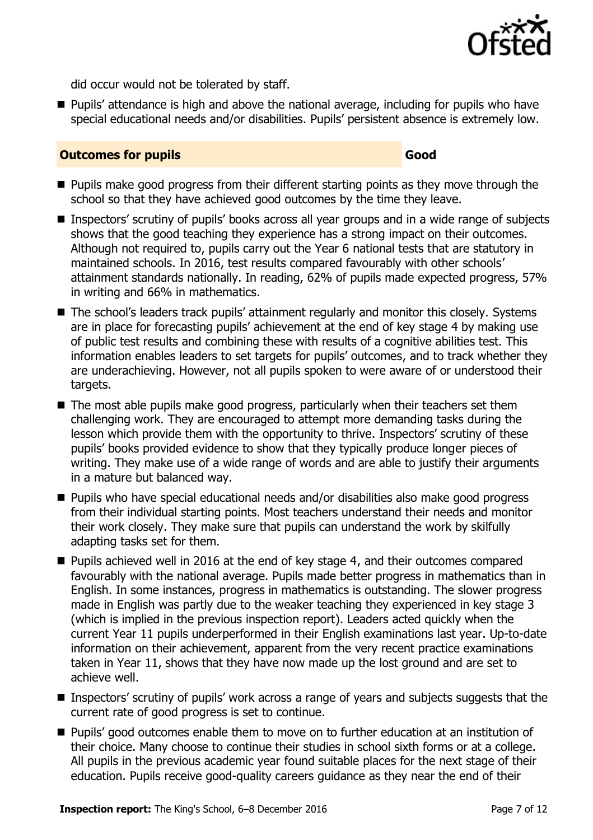

did occur would not be tolerated by staff.

**Pupils'** attendance is high and above the national average, including for pupils who have special educational needs and/or disabilities. Pupils' persistent absence is extremely low.

#### **Outcomes for pupils Good**

- **Pupils make good progress from their different starting points as they move through the** school so that they have achieved good outcomes by the time they leave.
- Inspectors' scrutiny of pupils' books across all year groups and in a wide range of subjects shows that the good teaching they experience has a strong impact on their outcomes. Although not required to, pupils carry out the Year 6 national tests that are statutory in maintained schools. In 2016, test results compared favourably with other schools' attainment standards nationally. In reading, 62% of pupils made expected progress, 57% in writing and 66% in mathematics.
- The school's leaders track pupils' attainment regularly and monitor this closely. Systems are in place for forecasting pupils' achievement at the end of key stage 4 by making use of public test results and combining these with results of a cognitive abilities test. This information enables leaders to set targets for pupils' outcomes, and to track whether they are underachieving. However, not all pupils spoken to were aware of or understood their targets.
- The most able pupils make good progress, particularly when their teachers set them challenging work. They are encouraged to attempt more demanding tasks during the lesson which provide them with the opportunity to thrive. Inspectors' scrutiny of these pupils' books provided evidence to show that they typically produce longer pieces of writing. They make use of a wide range of words and are able to justify their arguments in a mature but balanced way.
- Pupils who have special educational needs and/or disabilities also make good progress from their individual starting points. Most teachers understand their needs and monitor their work closely. They make sure that pupils can understand the work by skilfully adapting tasks set for them.
- **Pupils achieved well in 2016 at the end of key stage 4, and their outcomes compared** favourably with the national average. Pupils made better progress in mathematics than in English. In some instances, progress in mathematics is outstanding. The slower progress made in English was partly due to the weaker teaching they experienced in key stage 3 (which is implied in the previous inspection report). Leaders acted quickly when the current Year 11 pupils underperformed in their English examinations last year. Up-to-date information on their achievement, apparent from the very recent practice examinations taken in Year 11, shows that they have now made up the lost ground and are set to achieve well.
- Inspectors' scrutiny of pupils' work across a range of years and subjects suggests that the current rate of good progress is set to continue.
- **Pupils' good outcomes enable them to move on to further education at an institution of** their choice. Many choose to continue their studies in school sixth forms or at a college. All pupils in the previous academic year found suitable places for the next stage of their education. Pupils receive good-quality careers guidance as they near the end of their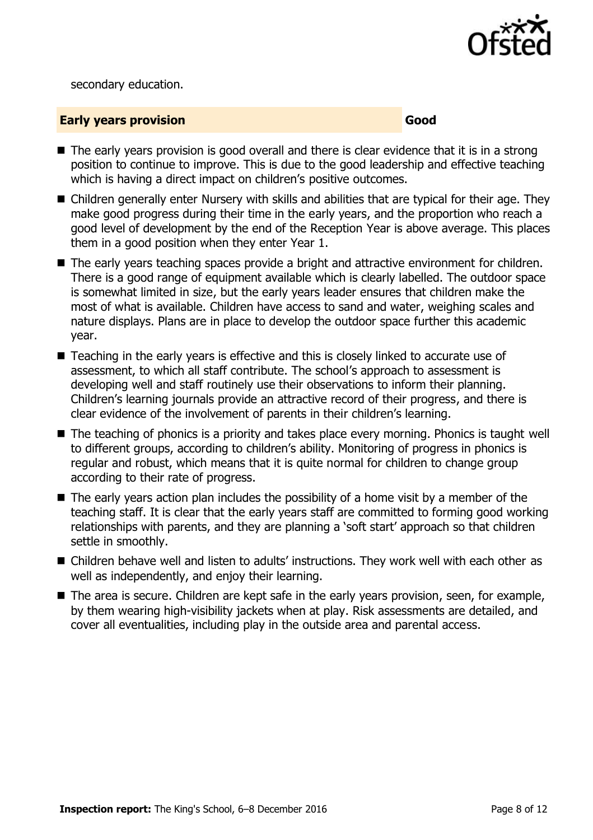

secondary education.

#### **Early years provision Good Good**

- $\blacksquare$  The early years provision is good overall and there is clear evidence that it is in a strong position to continue to improve. This is due to the good leadership and effective teaching which is having a direct impact on children's positive outcomes.
- Children generally enter Nursery with skills and abilities that are typical for their age. They make good progress during their time in the early years, and the proportion who reach a good level of development by the end of the Reception Year is above average. This places them in a good position when they enter Year 1.
- The early years teaching spaces provide a bright and attractive environment for children. There is a good range of equipment available which is clearly labelled. The outdoor space is somewhat limited in size, but the early years leader ensures that children make the most of what is available. Children have access to sand and water, weighing scales and nature displays. Plans are in place to develop the outdoor space further this academic year.
- Teaching in the early years is effective and this is closely linked to accurate use of assessment, to which all staff contribute. The school's approach to assessment is developing well and staff routinely use their observations to inform their planning. Children's learning journals provide an attractive record of their progress, and there is clear evidence of the involvement of parents in their children's learning.
- The teaching of phonics is a priority and takes place every morning. Phonics is taught well to different groups, according to children's ability. Monitoring of progress in phonics is regular and robust, which means that it is quite normal for children to change group according to their rate of progress.
- The early years action plan includes the possibility of a home visit by a member of the teaching staff. It is clear that the early years staff are committed to forming good working relationships with parents, and they are planning a 'soft start' approach so that children settle in smoothly.
- Children behave well and listen to adults' instructions. They work well with each other as well as independently, and enjoy their learning.
- The area is secure. Children are kept safe in the early years provision, seen, for example, by them wearing high-visibility jackets when at play. Risk assessments are detailed, and cover all eventualities, including play in the outside area and parental access.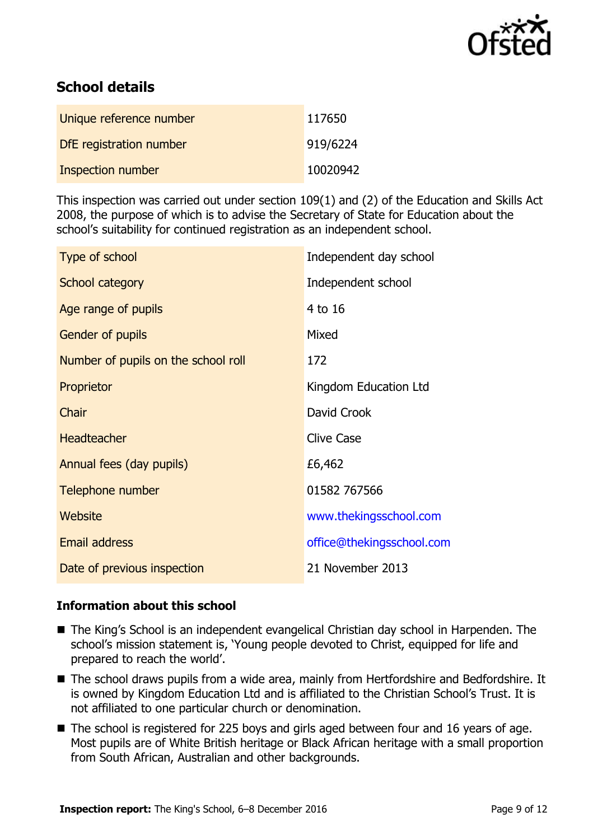

# **School details**

| Unique reference number  | 117650   |
|--------------------------|----------|
| DfE registration number  | 919/6224 |
| <b>Inspection number</b> | 10020942 |

This inspection was carried out under section 109(1) and (2) of the Education and Skills Act 2008, the purpose of which is to advise the Secretary of State for Education about the school's suitability for continued registration as an independent school.

| Type of school                      | Independent day school    |
|-------------------------------------|---------------------------|
| School category                     | Independent school        |
| Age range of pupils                 | 4 to 16                   |
| Gender of pupils                    | Mixed                     |
| Number of pupils on the school roll | 172                       |
| Proprietor                          | Kingdom Education Ltd     |
| Chair                               | David Crook               |
| <b>Headteacher</b>                  | <b>Clive Case</b>         |
| Annual fees (day pupils)            | £6,462                    |
| Telephone number                    | 01582 767566              |
| Website                             | www.thekingsschool.com    |
| <b>Email address</b>                | office@thekingsschool.com |
| Date of previous inspection         | 21 November 2013          |

#### **Information about this school**

- The King's School is an independent evangelical Christian day school in Harpenden. The school's mission statement is, 'Young people devoted to Christ, equipped for life and prepared to reach the world'.
- The school draws pupils from a wide area, mainly from Hertfordshire and Bedfordshire. It is owned by Kingdom Education Ltd and is affiliated to the Christian School's Trust. It is not affiliated to one particular church or denomination.
- The school is registered for 225 boys and girls aged between four and 16 years of age. Most pupils are of White British heritage or Black African heritage with a small proportion from South African, Australian and other backgrounds.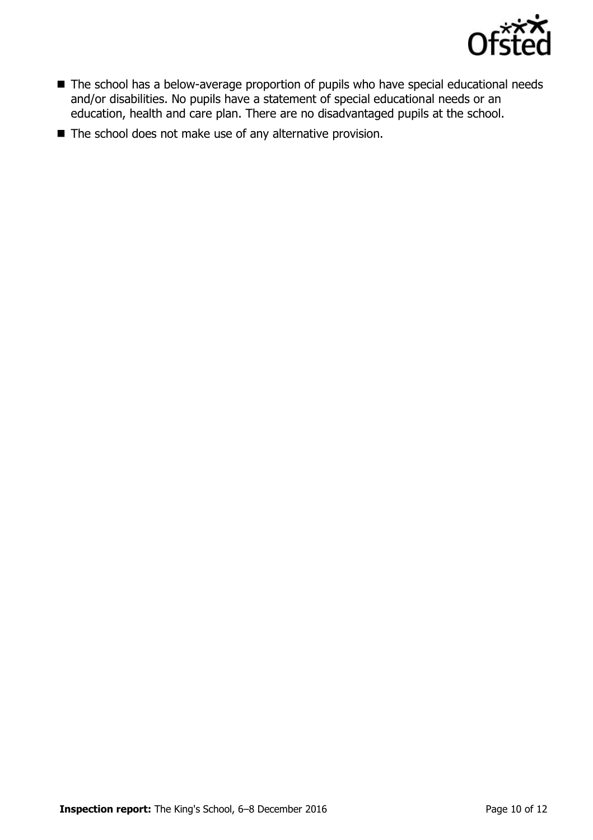

- The school has a below-average proportion of pupils who have special educational needs and/or disabilities. No pupils have a statement of special educational needs or an education, health and care plan. There are no disadvantaged pupils at the school.
- The school does not make use of any alternative provision.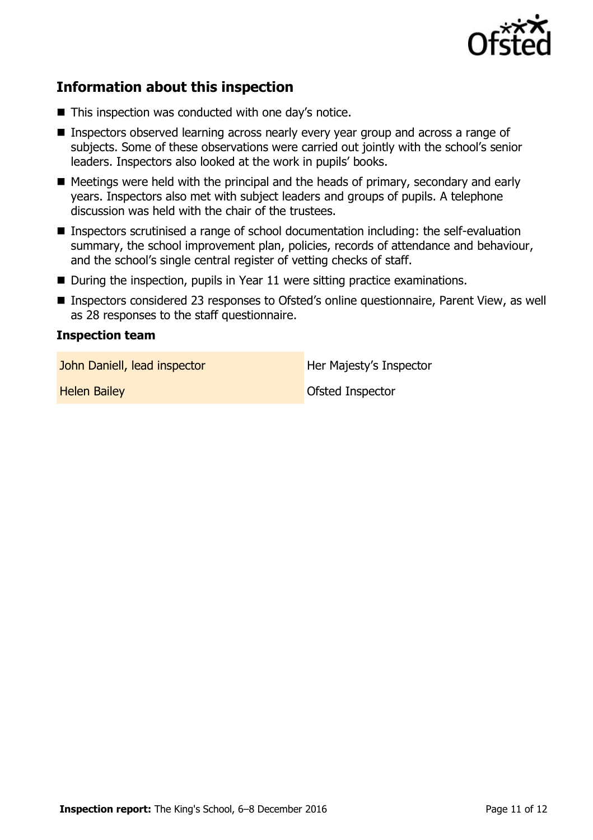

# **Information about this inspection**

- This inspection was conducted with one day's notice.
- **Inspectors observed learning across nearly every year group and across a range of** subjects. Some of these observations were carried out jointly with the school's senior leaders. Inspectors also looked at the work in pupils' books.
- Meetings were held with the principal and the heads of primary, secondary and early years. Inspectors also met with subject leaders and groups of pupils. A telephone discussion was held with the chair of the trustees.
- Inspectors scrutinised a range of school documentation including: the self-evaluation summary, the school improvement plan, policies, records of attendance and behaviour, and the school's single central register of vetting checks of staff.
- During the inspection, pupils in Year 11 were sitting practice examinations.
- Inspectors considered 23 responses to Ofsted's online questionnaire, Parent View, as well as 28 responses to the staff questionnaire.

#### **Inspection team**

John Daniell, lead inspector **Her Majesty's Inspector** 

**Helen Bailey Contract Contract Contract Contract Contract Contract Contract Contract Contract Contract Contract Contract Contract Contract Contract Contract Contract Contract Contract Contract Contract Contract Contract C**